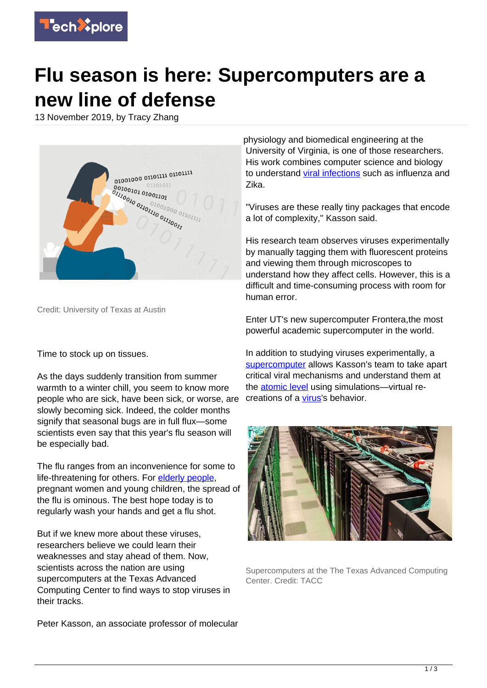

## **Flu season is here: Supercomputers are a new line of defense**

13 November 2019, by Tracy Zhang



Credit: University of Texas at Austin

Time to stock up on tissues.

As the days suddenly transition from summer warmth to a winter chill, you seem to know more people who are sick, have been sick, or worse, are slowly becoming sick. Indeed, the colder months signify that seasonal bugs are in full flux—some scientists even say that this year's flu season will be especially bad.

The flu ranges from an inconvenience for some to life-threatening for others. For [elderly people,](https://techxplore.com/tags/elderly+people/) pregnant women and young children, the spread of the flu is ominous. The best hope today is to regularly wash your hands and get a flu shot.

But if we knew more about these viruses, researchers believe we could learn their weaknesses and stay ahead of them. Now, scientists across the nation are using supercomputers at the Texas Advanced Computing Center to find ways to stop viruses in their tracks.

Peter Kasson, an associate professor of molecular

physiology and biomedical engineering at the University of Virginia, is one of those researchers. His work combines computer science and biology to understand [viral infections](https://techxplore.com/tags/viral+infections/) such as influenza and Zika.

"Viruses are these really tiny packages that encode a lot of complexity," Kasson said.

His research team observes viruses experimentally by manually tagging them with fluorescent proteins and viewing them through microscopes to understand how they affect cells. However, this is a difficult and time-consuming process with room for human error.

Enter UT's new supercomputer Frontera,the most powerful academic supercomputer in the world.

In addition to studying viruses experimentally, a [supercomputer](https://techxplore.com/tags/supercomputer/) allows Kasson's team to take apart critical viral mechanisms and understand them at the [atomic level](https://techxplore.com/tags/atomic+level/) using simulations—virtual recreations of a [virus](https://techxplore.com/tags/virus/)'s behavior.



Supercomputers at the The Texas Advanced Computing Center. Credit: TACC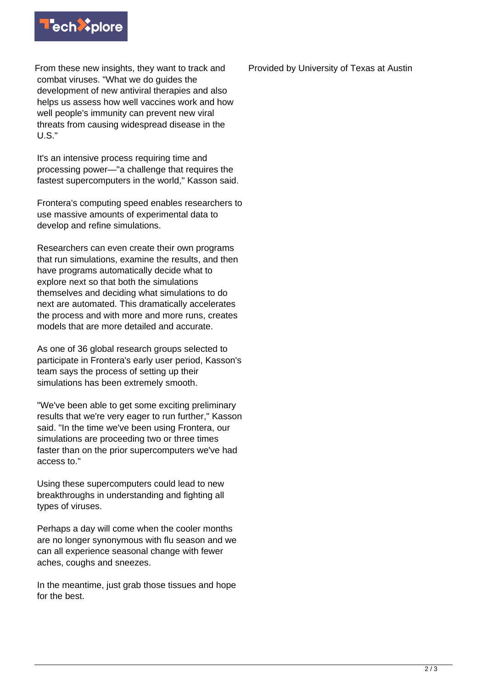

From these new insights, they want to track and combat viruses. "What we do guides the development of new antiviral therapies and also helps us assess how well vaccines work and how well people's immunity can prevent new viral threats from causing widespread disease in the U.S."

It's an intensive process requiring time and processing power—"a challenge that requires the fastest supercomputers in the world," Kasson said.

Frontera's computing speed enables researchers to use massive amounts of experimental data to develop and refine simulations.

Researchers can even create their own programs that run simulations, examine the results, and then have programs automatically decide what to explore next so that both the simulations themselves and deciding what simulations to do next are automated. This dramatically accelerates the process and with more and more runs, creates models that are more detailed and accurate.

As one of 36 global research groups selected to participate in Frontera's early user period, Kasson's team says the process of setting up their simulations has been extremely smooth.

"We've been able to get some exciting preliminary results that we're very eager to run further," Kasson said. "In the time we've been using Frontera, our simulations are proceeding two or three times faster than on the prior supercomputers we've had access to."

Using these supercomputers could lead to new breakthroughs in understanding and fighting all types of viruses.

Perhaps a day will come when the cooler months are no longer synonymous with flu season and we can all experience seasonal change with fewer aches, coughs and sneezes.

In the meantime, just grab those tissues and hope for the best.

Provided by University of Texas at Austin